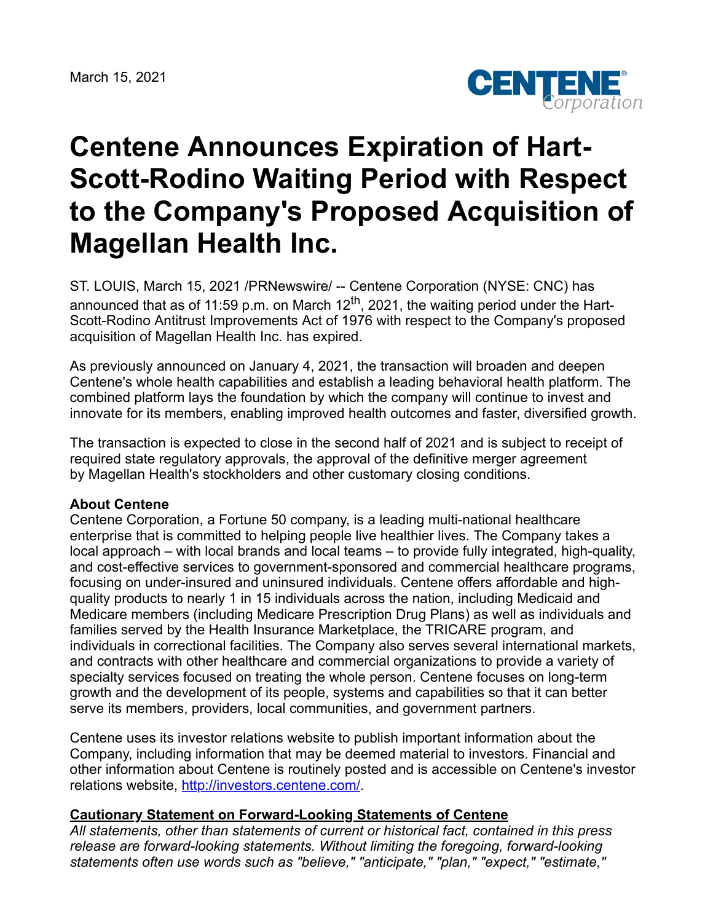March 15, 2021



## **Centene Announces Expiration of Hart-Scott-Rodino Waiting Period with Respect to the Company's Proposed Acquisition of Magellan Health Inc.**

ST. LOUIS, March 15, 2021 /PRNewswire/ -- Centene Corporation (NYSE: CNC) has announced that as of 11:59 p.m. on March 12<sup>th</sup>, 2021, the waiting period under the Hart-Scott-Rodino Antitrust Improvements Act of 1976 with respect to the Company's proposed acquisition of Magellan Health Inc. has expired.

As previously announced on January 4, 2021, the transaction will broaden and deepen Centene's whole health capabilities and establish a leading behavioral health platform. The combined platform lays the foundation by which the company will continue to invest and innovate for its members, enabling improved health outcomes and faster, diversified growth.

The transaction is expected to close in the second half of 2021 and is subject to receipt of required state regulatory approvals, the approval of the definitive merger agreement by Magellan Health's stockholders and other customary closing conditions.

## **About Centene**

Centene Corporation, a Fortune 50 company, is a leading multi-national healthcare enterprise that is committed to helping people live healthier lives. The Company takes a local approach – with local brands and local teams – to provide fully integrated, high-quality, and cost-effective services to government-sponsored and commercial healthcare programs, focusing on under-insured and uninsured individuals. Centene offers affordable and highquality products to nearly 1 in 15 individuals across the nation, including Medicaid and Medicare members (including Medicare Prescription Drug Plans) as well as individuals and families served by the Health Insurance Marketplace, the TRICARE program, and individuals in correctional facilities. The Company also serves several international markets, and contracts with other healthcare and commercial organizations to provide a variety of specialty services focused on treating the whole person. Centene focuses on long-term growth and the development of its people, systems and capabilities so that it can better serve its members, providers, local communities, and government partners.

Centene uses its investor relations website to publish important information about the Company, including information that may be deemed material to investors. Financial and other information about Centene is routinely posted and is accessible on Centene's investor relations website, [http://investors.centene.com/.](http://investors.centene.com/)

## **Cautionary Statement on Forward-Looking Statements of Centene**

*All statements, other than statements of current or historical fact, contained in this press release are forward-looking statements. Without limiting the foregoing, forward-looking statements often use words such as "believe," "anticipate," "plan," "expect," "estimate,"*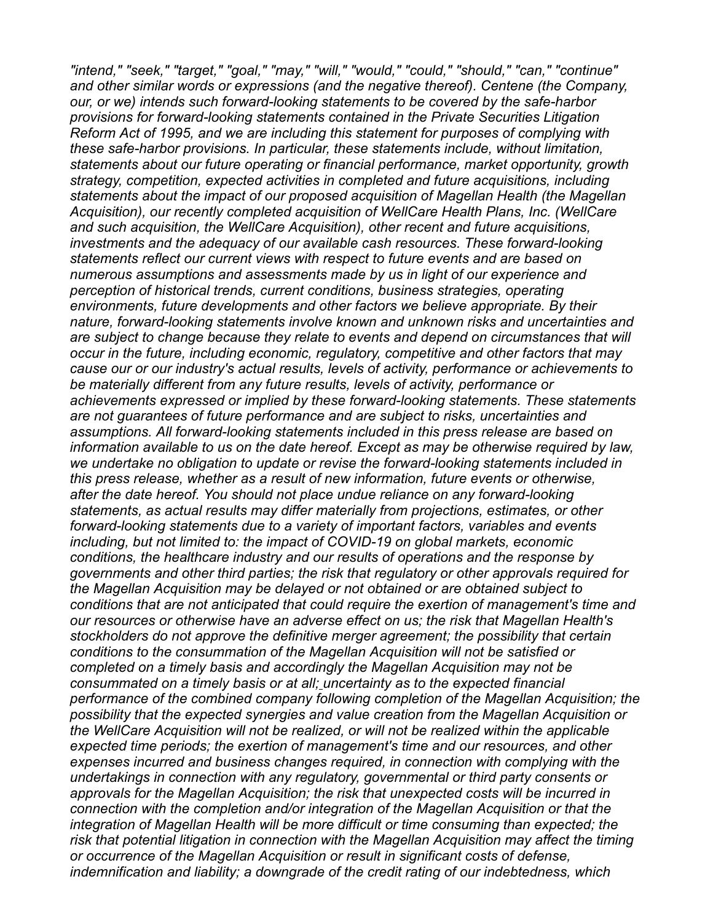*"intend," "seek," "target," "goal," "may," "will," "would," "could," "should," "can," "continue" and other similar words or expressions (and the negative thereof). Centene (the Company, our, or we) intends such forward-looking statements to be covered by the safe-harbor provisions for forward-looking statements contained in the Private Securities Litigation Reform Act of 1995, and we are including this statement for purposes of complying with these safe-harbor provisions. In particular, these statements include, without limitation, statements about our future operating or financial performance, market opportunity, growth strategy, competition, expected activities in completed and future acquisitions, including statements about the impact of our proposed acquisition of Magellan Health (the Magellan Acquisition), our recently completed acquisition of WellCare Health Plans, Inc. (WellCare and such acquisition, the WellCare Acquisition), other recent and future acquisitions, investments and the adequacy of our available cash resources. These forward-looking statements reflect our current views with respect to future events and are based on numerous assumptions and assessments made by us in light of our experience and perception of historical trends, current conditions, business strategies, operating environments, future developments and other factors we believe appropriate. By their nature, forward-looking statements involve known and unknown risks and uncertainties and are subject to change because they relate to events and depend on circumstances that will occur in the future, including economic, regulatory, competitive and other factors that may cause our or our industry's actual results, levels of activity, performance or achievements to be materially different from any future results, levels of activity, performance or achievements expressed or implied by these forward-looking statements. These statements are not guarantees of future performance and are subject to risks, uncertainties and assumptions. All forward-looking statements included in this press release are based on information available to us on the date hereof. Except as may be otherwise required by law, we undertake no obligation to update or revise the forward-looking statements included in this press release, whether as a result of new information, future events or otherwise, after the date hereof. You should not place undue reliance on any forward-looking statements, as actual results may differ materially from projections, estimates, or other forward-looking statements due to a variety of important factors, variables and events including, but not limited to: the impact of COVID-19 on global markets, economic conditions, the healthcare industry and our results of operations and the response by governments and other third parties; the risk that regulatory or other approvals required for the Magellan Acquisition may be delayed or not obtained or are obtained subject to conditions that are not anticipated that could require the exertion of management's time and our resources or otherwise have an adverse effect on us; the risk that Magellan Health's stockholders do not approve the definitive merger agreement; the possibility that certain conditions to the consummation of the Magellan Acquisition will not be satisfied or completed on a timely basis and accordingly the Magellan Acquisition may not be consummated on a timely basis or at all; uncertainty as to the expected financial performance of the combined company following completion of the Magellan Acquisition; the possibility that the expected synergies and value creation from the Magellan Acquisition or the WellCare Acquisition will not be realized, or will not be realized within the applicable expected time periods; the exertion of management's time and our resources, and other expenses incurred and business changes required, in connection with complying with the undertakings in connection with any regulatory, governmental or third party consents or approvals for the Magellan Acquisition; the risk that unexpected costs will be incurred in connection with the completion and/or integration of the Magellan Acquisition or that the integration of Magellan Health will be more difficult or time consuming than expected; the risk that potential litigation in connection with the Magellan Acquisition may affect the timing or occurrence of the Magellan Acquisition or result in significant costs of defense, indemnification and liability; a downgrade of the credit rating of our indebtedness, which*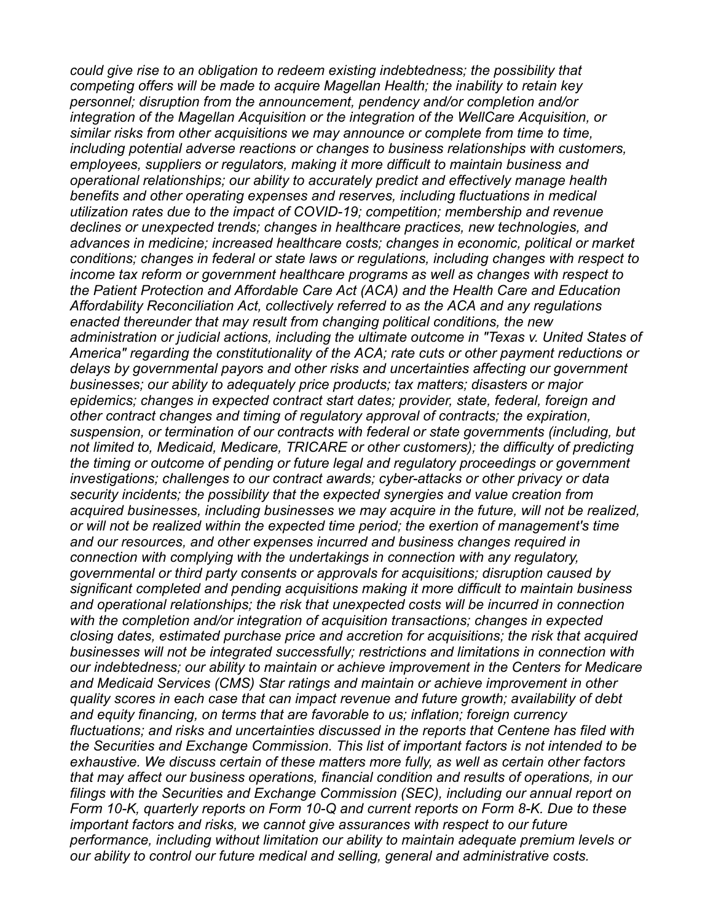*could give rise to an obligation to redeem existing indebtedness; the possibility that competing offers will be made to acquire Magellan Health; the inability to retain key personnel; disruption from the announcement, pendency and/or completion and/or integration of the Magellan Acquisition or the integration of the WellCare Acquisition, or similar risks from other acquisitions we may announce or complete from time to time, including potential adverse reactions or changes to business relationships with customers, employees, suppliers or regulators, making it more difficult to maintain business and operational relationships; our ability to accurately predict and effectively manage health benefits and other operating expenses and reserves, including fluctuations in medical utilization rates due to the impact of COVID-19; competition; membership and revenue declines or unexpected trends; changes in healthcare practices, new technologies, and advances in medicine; increased healthcare costs; changes in economic, political or market conditions; changes in federal or state laws or regulations, including changes with respect to income tax reform or government healthcare programs as well as changes with respect to the Patient Protection and Affordable Care Act (ACA) and the Health Care and Education Affordability Reconciliation Act, collectively referred to as the ACA and any regulations enacted thereunder that may result from changing political conditions, the new administration or judicial actions, including the ultimate outcome in "Texas v. United States of America" regarding the constitutionality of the ACA; rate cuts or other payment reductions or delays by governmental payors and other risks and uncertainties affecting our government businesses; our ability to adequately price products; tax matters; disasters or major epidemics; changes in expected contract start dates; provider, state, federal, foreign and other contract changes and timing of regulatory approval of contracts; the expiration, suspension, or termination of our contracts with federal or state governments (including, but not limited to, Medicaid, Medicare, TRICARE or other customers); the difficulty of predicting the timing or outcome of pending or future legal and regulatory proceedings or government investigations; challenges to our contract awards; cyber-attacks or other privacy or data security incidents; the possibility that the expected synergies and value creation from acquired businesses, including businesses we may acquire in the future, will not be realized, or will not be realized within the expected time period; the exertion of management's time and our resources, and other expenses incurred and business changes required in connection with complying with the undertakings in connection with any regulatory, governmental or third party consents or approvals for acquisitions; disruption caused by significant completed and pending acquisitions making it more difficult to maintain business and operational relationships; the risk that unexpected costs will be incurred in connection with the completion and/or integration of acquisition transactions; changes in expected closing dates, estimated purchase price and accretion for acquisitions; the risk that acquired businesses will not be integrated successfully; restrictions and limitations in connection with our indebtedness; our ability to maintain or achieve improvement in the Centers for Medicare and Medicaid Services (CMS) Star ratings and maintain or achieve improvement in other quality scores in each case that can impact revenue and future growth; availability of debt and equity financing, on terms that are favorable to us; inflation; foreign currency fluctuations; and risks and uncertainties discussed in the reports that Centene has filed with the Securities and Exchange Commission. This list of important factors is not intended to be exhaustive. We discuss certain of these matters more fully, as well as certain other factors that may affect our business operations, financial condition and results of operations, in our filings with the Securities and Exchange Commission (SEC), including our annual report on Form 10-K, quarterly reports on Form 10-Q and current reports on Form 8-K. Due to these important factors and risks, we cannot give assurances with respect to our future performance, including without limitation our ability to maintain adequate premium levels or our ability to control our future medical and selling, general and administrative costs.*